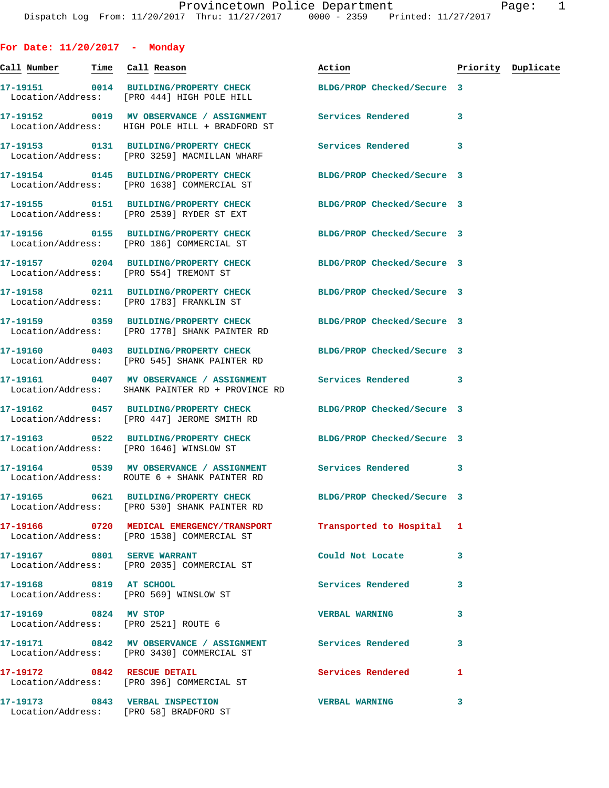**For Date: 11/20/2017 - Monday Call Number Time Call Reason Action Priority Duplicate 17-19151 0014 BUILDING/PROPERTY CHECK BLDG/PROP Checked/Secure 3**  Location/Address: [PRO 444] HIGH POLE HILL **17-19152 0019 MV OBSERVANCE / ASSIGNMENT Services Rendered 3**  Location/Address: HIGH POLE HILL + BRADFORD ST **17-19153 0131 BUILDING/PROPERTY CHECK Services Rendered 3**  Location/Address: [PRO 3259] MACMILLAN WHARF **17-19154 0145 BUILDING/PROPERTY CHECK BLDG/PROP Checked/Secure 3**  Location/Address: [PRO 1638] COMMERCIAL ST **17-19155 0151 BUILDING/PROPERTY CHECK BLDG/PROP Checked/Secure 3**  Location/Address: [PRO 2539] RYDER ST EXT **17-19156 0155 BUILDING/PROPERTY CHECK BLDG/PROP Checked/Secure 3**  Location/Address: [PRO 186] COMMERCIAL ST **17-19157 0204 BUILDING/PROPERTY CHECK BLDG/PROP Checked/Secure 3**  Location/Address: [PRO 554] TREMONT ST **17-19158 0211 BUILDING/PROPERTY CHECK BLDG/PROP Checked/Secure 3**  Location/Address: [PRO 1783] FRANKLIN ST **17-19159 0359 BUILDING/PROPERTY CHECK BLDG/PROP Checked/Secure 3**  Location/Address: [PRO 1778] SHANK PAINTER RD **17-19160 0403 BUILDING/PROPERTY CHECK BLDG/PROP Checked/Secure 3**  Location/Address: [PRO 545] SHANK PAINTER RD **17-19161 0407 MV OBSERVANCE / ASSIGNMENT Services Rendered 3**  Location/Address: SHANK PAINTER RD + PROVINCE RD **17-19162 0457 BUILDING/PROPERTY CHECK BLDG/PROP Checked/Secure 3**  Location/Address: [PRO 447] JEROME SMITH RD **17-19163 0522 BUILDING/PROPERTY CHECK BLDG/PROP Checked/Secure 3**  Location/Address: [PRO 1646] WINSLOW ST **17-19164 0539 MV OBSERVANCE / ASSIGNMENT Services Rendered 3**  Location/Address: ROUTE 6 + SHANK PAINTER RD **17-19165 0621 BUILDING/PROPERTY CHECK BLDG/PROP Checked/Secure 3**  Location/Address: [PRO 530] SHANK PAINTER RD **17-19166 0720 MEDICAL EMERGENCY/TRANSPORT Transported to Hospital 1**  Location/Address: [PRO 1538] COMMERCIAL ST **17-19167 0801 SERVE WARRANT Could Not Locate 3**  Location/Address: [PRO 2035] COMMERCIAL ST **17-19168 0819 AT SCHOOL Services Rendered 3**  Location/Address: [PRO 569] WINSLOW ST **17-19169 0824 MV STOP VERBAL WARNING 3**  Location/Address: [PRO 2521] ROUTE 6 **17-19171 0842 MV OBSERVANCE / ASSIGNMENT Services Rendered 3**  Location/Address: [PRO 3430] COMMERCIAL ST **17-19172 0842 RESCUE DETAIL Services Rendered 1**  [PRO 396] COMMERCIAL ST **17-19173 0843 VERBAL INSPECTION VERBAL WARNING 3** 

Location/Address: [PRO 58] BRADFORD ST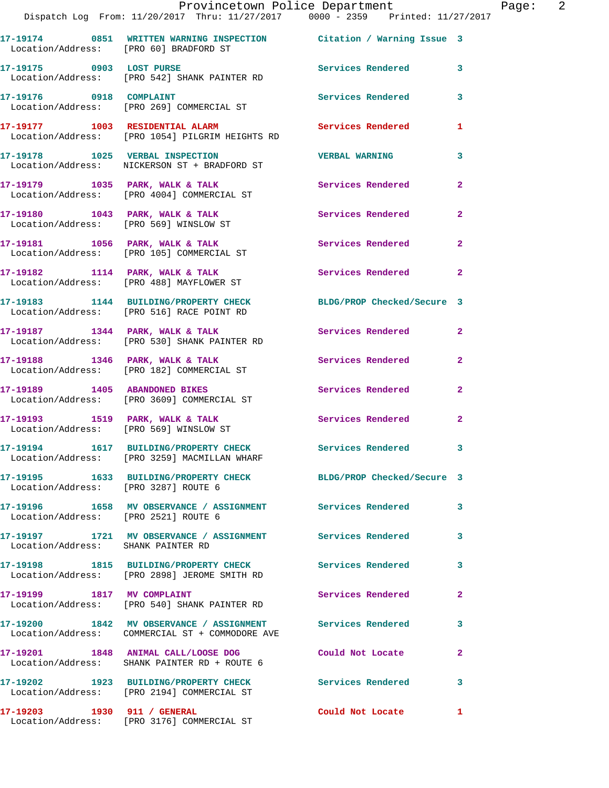| Location/Address: [PRO 60] BRADFORD ST                                          |                       |                                                                                                                                                                                                                                                                                                                                                                                                                                                                                                                                                                                                                                                                                                                                                                                                                                                                                                                                                                                                                                                                                                                                                                                                                                                                                                                                                                                                                                   |
|---------------------------------------------------------------------------------|-----------------------|-----------------------------------------------------------------------------------------------------------------------------------------------------------------------------------------------------------------------------------------------------------------------------------------------------------------------------------------------------------------------------------------------------------------------------------------------------------------------------------------------------------------------------------------------------------------------------------------------------------------------------------------------------------------------------------------------------------------------------------------------------------------------------------------------------------------------------------------------------------------------------------------------------------------------------------------------------------------------------------------------------------------------------------------------------------------------------------------------------------------------------------------------------------------------------------------------------------------------------------------------------------------------------------------------------------------------------------------------------------------------------------------------------------------------------------|
| 17-19175 0903 LOST PURSE<br>Location/Address: [PRO 542] SHANK PAINTER RD        |                       |                                                                                                                                                                                                                                                                                                                                                                                                                                                                                                                                                                                                                                                                                                                                                                                                                                                                                                                                                                                                                                                                                                                                                                                                                                                                                                                                                                                                                                   |
|                                                                                 | Services Rendered 3   |                                                                                                                                                                                                                                                                                                                                                                                                                                                                                                                                                                                                                                                                                                                                                                                                                                                                                                                                                                                                                                                                                                                                                                                                                                                                                                                                                                                                                                   |
|                                                                                 |                       | $\mathbf{1}$                                                                                                                                                                                                                                                                                                                                                                                                                                                                                                                                                                                                                                                                                                                                                                                                                                                                                                                                                                                                                                                                                                                                                                                                                                                                                                                                                                                                                      |
| 17-19178 1025 VERBAL INSPECTION<br>Location/Address: NICKERSON ST + BRADFORD ST | <b>VERBAL WARNING</b> | $\overline{\mathbf{3}}$                                                                                                                                                                                                                                                                                                                                                                                                                                                                                                                                                                                                                                                                                                                                                                                                                                                                                                                                                                                                                                                                                                                                                                                                                                                                                                                                                                                                           |
| Location/Address: [PRO 4004] COMMERCIAL ST                                      |                       | $\overline{2}$                                                                                                                                                                                                                                                                                                                                                                                                                                                                                                                                                                                                                                                                                                                                                                                                                                                                                                                                                                                                                                                                                                                                                                                                                                                                                                                                                                                                                    |
| Location/Address: [PRO 569] WINSLOW ST                                          |                       |                                                                                                                                                                                                                                                                                                                                                                                                                                                                                                                                                                                                                                                                                                                                                                                                                                                                                                                                                                                                                                                                                                                                                                                                                                                                                                                                                                                                                                   |
| Location/Address: [PRO 105] COMMERCIAL ST                                       |                       | $\mathbf{2}$                                                                                                                                                                                                                                                                                                                                                                                                                                                                                                                                                                                                                                                                                                                                                                                                                                                                                                                                                                                                                                                                                                                                                                                                                                                                                                                                                                                                                      |
| Location/Address: [PRO 488] MAYFLOWER ST                                        |                       |                                                                                                                                                                                                                                                                                                                                                                                                                                                                                                                                                                                                                                                                                                                                                                                                                                                                                                                                                                                                                                                                                                                                                                                                                                                                                                                                                                                                                                   |
| Location/Address: [PRO 516] RACE POINT RD                                       |                       |                                                                                                                                                                                                                                                                                                                                                                                                                                                                                                                                                                                                                                                                                                                                                                                                                                                                                                                                                                                                                                                                                                                                                                                                                                                                                                                                                                                                                                   |
| Location/Address: [PRO 530] SHANK PAINTER RD                                    |                       |                                                                                                                                                                                                                                                                                                                                                                                                                                                                                                                                                                                                                                                                                                                                                                                                                                                                                                                                                                                                                                                                                                                                                                                                                                                                                                                                                                                                                                   |
| Location/Address: [PRO 182] COMMERCIAL ST                                       |                       | $\mathbf{2}$                                                                                                                                                                                                                                                                                                                                                                                                                                                                                                                                                                                                                                                                                                                                                                                                                                                                                                                                                                                                                                                                                                                                                                                                                                                                                                                                                                                                                      |
| Location/Address: [PRO 3609] COMMERCIAL ST                                      |                       | $\mathbf{2}$                                                                                                                                                                                                                                                                                                                                                                                                                                                                                                                                                                                                                                                                                                                                                                                                                                                                                                                                                                                                                                                                                                                                                                                                                                                                                                                                                                                                                      |
|                                                                                 |                       |                                                                                                                                                                                                                                                                                                                                                                                                                                                                                                                                                                                                                                                                                                                                                                                                                                                                                                                                                                                                                                                                                                                                                                                                                                                                                                                                                                                                                                   |
| Location/Address: [PRO 3259] MACMILLAN WHARF                                    |                       |                                                                                                                                                                                                                                                                                                                                                                                                                                                                                                                                                                                                                                                                                                                                                                                                                                                                                                                                                                                                                                                                                                                                                                                                                                                                                                                                                                                                                                   |
| Location/Address: [PRO 3287] ROUTE 6                                            |                       |                                                                                                                                                                                                                                                                                                                                                                                                                                                                                                                                                                                                                                                                                                                                                                                                                                                                                                                                                                                                                                                                                                                                                                                                                                                                                                                                                                                                                                   |
| Location/Address: [PRO 2521] ROUTE 6                                            |                       | 3                                                                                                                                                                                                                                                                                                                                                                                                                                                                                                                                                                                                                                                                                                                                                                                                                                                                                                                                                                                                                                                                                                                                                                                                                                                                                                                                                                                                                                 |
| Location/Address: SHANK PAINTER RD                                              |                       | 3                                                                                                                                                                                                                                                                                                                                                                                                                                                                                                                                                                                                                                                                                                                                                                                                                                                                                                                                                                                                                                                                                                                                                                                                                                                                                                                                                                                                                                 |
| Location/Address: [PRO 2898] JEROME SMITH RD                                    |                       |                                                                                                                                                                                                                                                                                                                                                                                                                                                                                                                                                                                                                                                                                                                                                                                                                                                                                                                                                                                                                                                                                                                                                                                                                                                                                                                                                                                                                                   |
| 17-19199 1817 MV COMPLAINT<br>Location/Address: [PRO 540] SHANK PAINTER RD      | Services Rendered     | $\mathbf{2}$                                                                                                                                                                                                                                                                                                                                                                                                                                                                                                                                                                                                                                                                                                                                                                                                                                                                                                                                                                                                                                                                                                                                                                                                                                                                                                                                                                                                                      |
|                                                                                 |                       | 3                                                                                                                                                                                                                                                                                                                                                                                                                                                                                                                                                                                                                                                                                                                                                                                                                                                                                                                                                                                                                                                                                                                                                                                                                                                                                                                                                                                                                                 |
| Location/Address: SHANK PAINTER RD + ROUTE 6                                    | Could Not Locate      | 2                                                                                                                                                                                                                                                                                                                                                                                                                                                                                                                                                                                                                                                                                                                                                                                                                                                                                                                                                                                                                                                                                                                                                                                                                                                                                                                                                                                                                                 |
| Location/Address: [PRO 2194] COMMERCIAL ST                                      |                       | 3                                                                                                                                                                                                                                                                                                                                                                                                                                                                                                                                                                                                                                                                                                                                                                                                                                                                                                                                                                                                                                                                                                                                                                                                                                                                                                                                                                                                                                 |
|                                                                                 |                       | Provincetown Police Department Fage: 2<br>Dispatch Log From: 11/20/2017 Thru: 11/27/2017 0000 - 2359 Printed: 11/27/2017<br>17-19174 0851 WRITTEN WARNING INSPECTION Citation / Warning Issue 3<br>Services Rendered 3<br>17-19177 1003 RESIDENTIAL ALARM 1999 Services Rendered<br>Location/Address: [PRO 1054] PILGRIM HEIGHTS RD<br>17-19179 1035 PARK, WALK & TALK Services Rendered<br>17-19180 1043 PARK, WALK & TALK 1998 Services Rendered 2<br>17-19181 1056 PARK, WALK & TALK 1999 Services Rendered<br>17-19182 1114 PARK, WALK & TALK 1998 Services Rendered 2<br>17-19183 1144 BUILDING/PROPERTY CHECK BLDG/PROP Checked/Secure 3<br>17-19187 1344 PARK, WALK & TALK 1998 Services Rendered 2<br>17-19188 1346 PARK, WALK & TALK 1998 Services Rendered<br>17-19189 1405 ABANDONED BIKES Services Rendered<br>Services Rendered 2<br>17-19194 1617 BUILDING/PROPERTY CHECK Services Rendered<br>17-19195 1633 BUILDING/PROPERTY CHECK BLDG/PROP Checked/Secure 3<br>17-19196                1658     MV  OBSERVANCE  /  ASSIGNMENT                  Services  Rendered<br>17-19197 1721 MV OBSERVANCE / ASSIGNMENT Services Rendered<br>17-19198 1815 BUILDING/PROPERTY CHECK Services Rendered 3<br>17-19200 1842 MV OBSERVANCE / ASSIGNMENT Services Rendered<br>Location/Address: COMMERCIAL ST + COMMODORE AVE<br>17-19201 1848 ANIMAL CALL/LOOSE DOG<br>17-19202 1923 BUILDING/PROPERTY CHECK Services Rendered |

**17-19203 1930 911 / GENERAL Could Not Locate 1** 

Location/Address: [PRO 3176] COMMERCIAL ST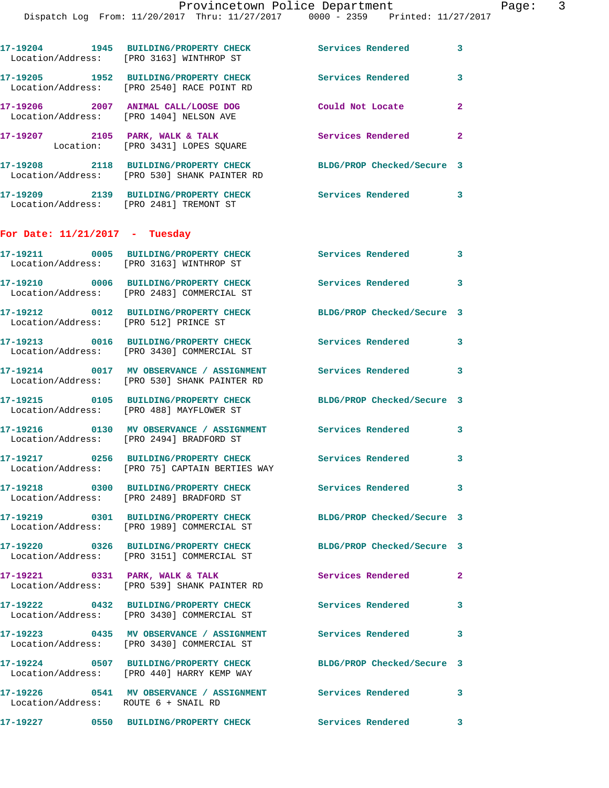|                                       | 17-19204 1945 BUILDING/PROPERTY CHECK<br>Location/Address: [PRO 3163] WINTHROP ST                          | <b>Services Rendered</b>                               | 3              |
|---------------------------------------|------------------------------------------------------------------------------------------------------------|--------------------------------------------------------|----------------|
|                                       | 17-19205 1952 BUILDING/PROPERTY CHECK<br>Location/Address: [PRO 2540] RACE POINT RD                        | Services Rendered                                      | 3              |
|                                       | $17-19206$ 2007 ANIMAL CALL/LOOSE DOG<br>Location/Address: [PRO 1404] NELSON AVE                           | Could Not Locate                                       | $\overline{2}$ |
|                                       | 17-19207 2105 PARK, WALK & TALK<br>Location: [PRO 3431] LOPES SQUARE                                       | Services Rendered                                      | $\mathbf{2}$   |
|                                       | 17-19208 2118 BUILDING/PROPERTY CHECK<br>Location/Address: [PRO 530] SHANK PAINTER RD                      | BLDG/PROP Checked/Secure 3                             |                |
|                                       | 17-19209 2139 BUILDING/PROPERTY CHECK<br>Location/Address: [PRO 2481] TREMONT ST                           | <b>Services Rendered</b>                               | 3              |
| For Date: $11/21/2017$ - Tuesday      |                                                                                                            |                                                        |                |
|                                       | 17-19211 0005 BUILDING/PROPERTY CHECK<br>Location/Address: [PRO 3163] WINTHROP ST                          | <b>Services Rendered</b>                               | 3              |
|                                       | 17-19210 0006 BUILDING/PROPERTY CHECK<br>Location/Address: [PRO 2483] COMMERCIAL ST                        | <b>Services Rendered</b><br>$\overline{\phantom{a}}$ 3 |                |
| Location/Address: [PRO 512] PRINCE ST | 17-19212 0012 BUILDING/PROPERTY CHECK                                                                      | BLDG/PROP Checked/Secure 3                             |                |
|                                       | 17-19213 0016 BUILDING/PROPERTY CHECK<br>Location/Address: [PRO 3430] COMMERCIAL ST                        | Services Rendered 3                                    |                |
|                                       | 17-19214 0017 MV OBSERVANCE / ASSIGNMENT<br>Location/Address: [PRO 530] SHANK PAINTER RD                   | <b>Services Rendered</b>                               | 3              |
|                                       | 17-19215 0105 BUILDING/PROPERTY CHECK<br>Location/Address: [PRO 488] MAYFLOWER ST                          | BLDG/PROP Checked/Secure 3                             |                |
|                                       | Location/Address: [PRO 2494] BRADFORD ST                                                                   |                                                        | 3              |
|                                       | 17-19217 0256 BUILDING/PROPERTY CHECK<br>Location/Address: [PRO 75] CAPTAIN BERTIES WAY                    | Services Rendered                                      | 3              |
|                                       | 17-19218 0300 BUILDING/PROPERTY CHECK<br>Location/Address: [PRO 2489] BRADFORD ST                          | Services Rendered                                      | 3              |
|                                       | 17-19219 0301 BUILDING/PROPERTY CHECK<br>Location/Address: [PRO 1989] COMMERCIAL ST                        | BLDG/PROP Checked/Secure 3                             |                |
|                                       | 17-19220 0326 BUILDING/PROPERTY CHECK<br>Location/Address: [PRO 3151] COMMERCIAL ST                        | BLDG/PROP Checked/Secure 3                             |                |
|                                       | 17-19221 0331 PARK, WALK & TALK<br>Location/Address: [PRO 539] SHANK PAINTER RD                            | Services Rendered<br>$\sim$ 2                          |                |
|                                       | 17-19222 0432 BUILDING/PROPERTY CHECK<br>Location/Address: [PRO 3430] COMMERCIAL ST                        | Services Rendered                                      | 3              |
|                                       | 17-19223 0435 MV OBSERVANCE / ASSIGNMENT Services Rendered 3<br>Location/Address: [PRO 3430] COMMERCIAL ST |                                                        |                |
|                                       | 17-19224 0507 BUILDING/PROPERTY CHECK<br>Location/Address: [PRO 440] HARRY KEMP WAY                        | BLDG/PROP Checked/Secure 3                             |                |
|                                       |                                                                                                            |                                                        | $\mathbf{3}$   |
|                                       | 17-19227 0550 BUILDING/PROPERTY CHECK Services Rendered                                                    |                                                        | 3              |
|                                       |                                                                                                            |                                                        |                |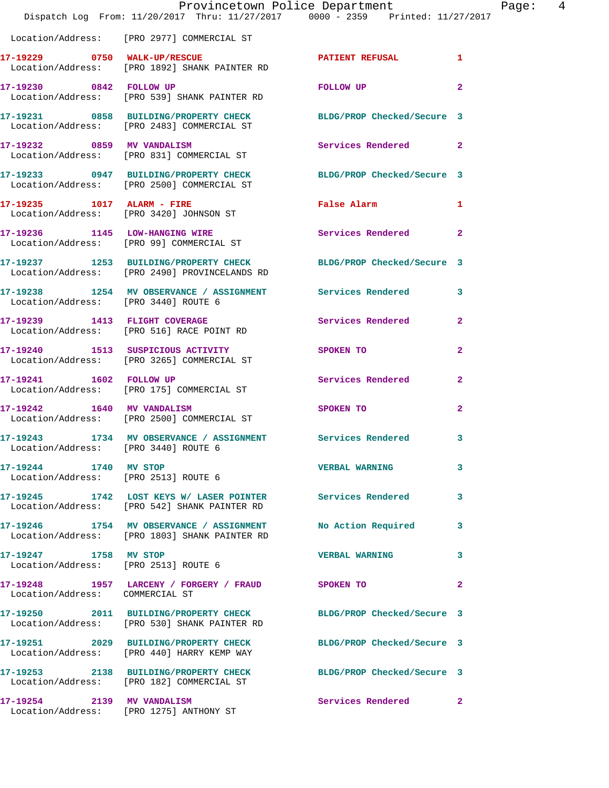|                                                               | Dispatch Log From: 11/20/2017 Thru: 11/27/2017 0000 - 2359 Printed: 11/27/2017                                    | Provincetown Police Department     | Page:          | $\overline{4}$ |
|---------------------------------------------------------------|-------------------------------------------------------------------------------------------------------------------|------------------------------------|----------------|----------------|
|                                                               | Location/Address: [PRO 2977] COMMERCIAL ST                                                                        |                                    |                |                |
|                                                               | 17-19229 0750 WALK-UP/RESCUE PATIENT REFUSAL 1<br>Location/Address: [PRO 1892] SHANK PAINTER RD                   |                                    |                |                |
|                                                               | 17-19230 0842 FOLLOW UP<br>Location/Address: [PRO 539] SHANK PAINTER RD                                           | FOLLOW UP                          | $\overline{2}$ |                |
|                                                               | 17-19231 0858 BUILDING/PROPERTY CHECK BLDG/PROP Checked/Secure 3<br>Location/Address: [PRO 2483] COMMERCIAL ST    |                                    |                |                |
|                                                               | 17-19232 0859 MV VANDALISM<br>Location/Address: [PRO 831] COMMERCIAL ST                                           | Services Rendered 2                |                |                |
|                                                               | 17-19233 0947 BUILDING/PROPERTY CHECK BLDG/PROP Checked/Secure 3<br>Location/Address: [PRO 2500] COMMERCIAL ST    |                                    |                |                |
|                                                               | 17-19235 1017 ALARM - FIRE<br>Location/Address: [PRO 3420] JOHNSON ST                                             | False Alarm 1                      |                |                |
|                                                               | 17-19236 1145 LOW-HANGING WIRE<br>Location/Address: [PRO 99] COMMERCIAL ST                                        | Services Rendered 2                |                |                |
|                                                               | 17-19237 1253 BUILDING/PROPERTY CHECK BLDG/PROP Checked/Secure 3<br>Location/Address: [PRO 2490] PROVINCELANDS RD |                                    |                |                |
|                                                               | 17-19238 1254 MV OBSERVANCE / ASSIGNMENT Services Rendered 3<br>Location/Address: [PRO 3440] ROUTE 6              |                                    |                |                |
|                                                               | 17-19239 1413 FLIGHT COVERAGE<br>Location/Address: [PRO 516] RACE POINT RD                                        | Services Rendered 2                |                |                |
|                                                               | 17-19240 1513 SUSPICIOUS ACTIVITY<br>Location/Address: [PRO 3265] COMMERCIAL ST                                   | SPOKEN TO                          | $\mathbf{2}$   |                |
|                                                               | 17-19241 1602 FOLLOW UP<br>Location/Address: [PRO 175] COMMERCIAL ST                                              | Services Rendered                  | $\overline{2}$ |                |
|                                                               | 17-19242 1640 MV VANDALISM<br>Location/Address: [PRO 2500] COMMERCIAL ST                                          | SPOKEN TO NAME OF SPOKEN OF STREET | $\overline{2}$ |                |
| Location/Address: [PRO 3440] ROUTE 6                          | 17-19243 1734 MV OBSERVANCE / ASSIGNMENT Services Rendered 3                                                      |                                    |                |                |
| 17-19244 1740 MV STOP<br>Location/Address: [PRO 2513] ROUTE 6 |                                                                                                                   | <b>VERBAL WARNING</b>              | 3              |                |
|                                                               | 17-19245 1742 LOST KEYS W/ LASER POINTER Services Rendered 3<br>Location/Address: [PRO 542] SHANK PAINTER RD      |                                    |                |                |
|                                                               | 17-19246 1754 MV OBSERVANCE / ASSIGNMENT<br>Location/Address: [PRO 1803] SHANK PAINTER RD                         | No Action Required 3               |                |                |
| 17-19247 1758 MV STOP                                         | Location/Address: [PRO 2513] ROUTE 6                                                                              | VERBAL WARNING 3                   |                |                |
| Location/Address: COMMERCIAL ST                               | 17-19248 1957 LARCENY / FORGERY / FRAUD SPOKEN TO                                                                 |                                    | $\mathbf{2}$   |                |
|                                                               | 17-19250 2011 BUILDING/PROPERTY CHECK BLDG/PROP Checked/Secure 3<br>Location/Address: [PRO 530] SHANK PAINTER RD  |                                    |                |                |
|                                                               | 17-19251 2029 BUILDING/PROPERTY CHECK BLDG/PROP Checked/Secure 3<br>Location/Address: [PRO 440] HARRY KEMP WAY    |                                    |                |                |
|                                                               | 17-19253 2138 BUILDING/PROPERTY CHECK BLDG/PROP Checked/Secure 3<br>Location/Address: [PRO 182] COMMERCIAL ST     |                                    |                |                |
|                                                               | 17-19254 2139 MV VANDALISM<br>Location/Address: [PRO 1275] ANTHONY ST                                             | Services Rendered 2                |                |                |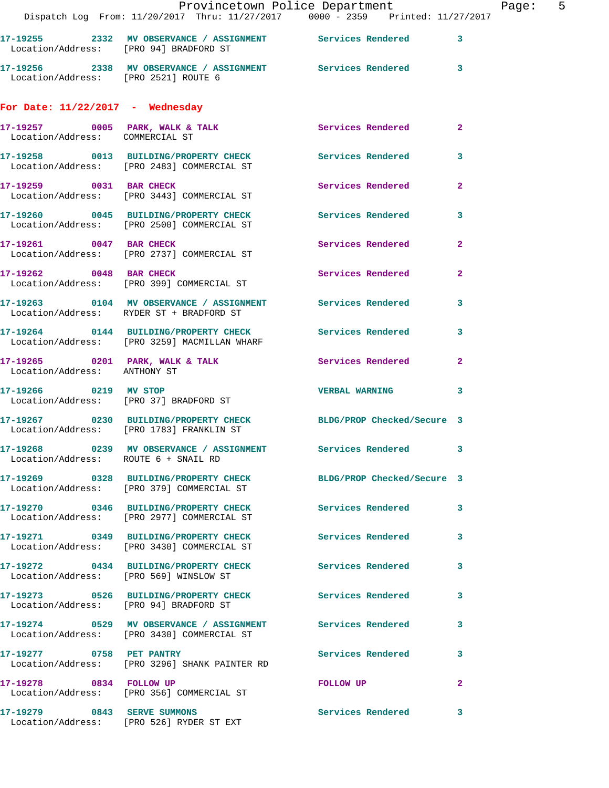|                                        |                                                                                       | Provincetown Police Department<br>Dispatch Log From: 11/20/2017 Thru: 11/27/2017 0000 - 2359 Printed: 11/27/2017 |                |
|----------------------------------------|---------------------------------------------------------------------------------------|------------------------------------------------------------------------------------------------------------------|----------------|
|                                        | Location/Address: [PRO 94] BRADFORD ST                                                | 17-19255 2332 MV OBSERVANCE / ASSIGNMENT Services Rendered                                                       | 3              |
| Location/Address: [PRO 2521] ROUTE 6   |                                                                                       | 17-19256 2338 MV OBSERVANCE / ASSIGNMENT Services Rendered                                                       | 3              |
| For Date: $11/22/2017$ - Wednesday     |                                                                                       |                                                                                                                  |                |
| Location/Address: COMMERCIAL ST        | 17-19257 0005 PARK, WALK & TALK                                                       | Services Rendered                                                                                                | $\mathbf{2}$   |
|                                        |                                                                                       | 17-19258 0013 BUILDING/PROPERTY CHECK Services Rendered<br>Location/Address: [PRO 2483] COMMERCIAL ST            | 3              |
| 17-19259 0031 BAR CHECK                | Location/Address: [PRO 3443] COMMERCIAL ST                                            | Services Rendered                                                                                                | $\mathbf{2}$   |
|                                        | 17-19260 0045 BUILDING/PROPERTY CHECK<br>Location/Address: [PRO 2500] COMMERCIAL ST   | Services Rendered                                                                                                | 3              |
| 17-19261 0047 BAR CHECK                | Location/Address: [PRO 2737] COMMERCIAL ST                                            | <b>Services Rendered</b>                                                                                         | $\mathbf{2}$   |
| 17-19262 0048 BAR CHECK                | Location/Address: [PRO 399] COMMERCIAL ST                                             | Services Rendered                                                                                                | $\overline{a}$ |
|                                        | Location/Address: RYDER ST + BRADFORD ST                                              | 17-19263 0104 MV OBSERVANCE / ASSIGNMENT Services Rendered                                                       | 3              |
|                                        | 17-19264 0144 BUILDING/PROPERTY CHECK<br>Location/Address: [PRO 3259] MACMILLAN WHARF | <b>Services Rendered</b>                                                                                         | 3              |
| Location/Address: ANTHONY ST           | $17-19265$ 0201 PARK, WALK & TALK                                                     | Services Rendered                                                                                                | $\mathbf{2}$   |
| 17-19266 0219 MV STOP                  | Location/Address: [PRO 37] BRADFORD ST                                                | <b>VERBAL WARNING</b>                                                                                            | 3              |
|                                        | Location/Address: [PRO 1783] FRANKLIN ST                                              | 17-19267 0230 BUILDING/PROPERTY CHECK BLDG/PROP Checked/Secure 3                                                 |                |
| Location/Address: ROUTE 6 + SNAIL RD   | 17-19268 0239 MV OBSERVANCE / ASSIGNMENT                                              | Services Rendered                                                                                                | 3              |
|                                        | Location/Address: [PRO 379] COMMERCIAL ST                                             | 17-19269 0328 BUILDING/PROPERTY CHECK BLDG/PROP Checked/Secure 3                                                 |                |
|                                        | 17-19270 0346 BUILDING/PROPERTY CHECK<br>Location/Address: [PRO 2977] COMMERCIAL ST   | <b>Services Rendered</b>                                                                                         | 3              |
|                                        | 17-19271 0349 BUILDING/PROPERTY CHECK<br>Location/Address: [PRO 3430] COMMERCIAL ST   | <b>Services Rendered</b>                                                                                         | 3              |
|                                        | 17-19272 0434 BUILDING/PROPERTY CHECK<br>Location/Address: [PRO 569] WINSLOW ST       | <b>Services Rendered</b>                                                                                         | 3              |
| Location/Address: [PRO 94] BRADFORD ST | 17-19273 0526 BUILDING/PROPERTY CHECK                                                 | <b>Services Rendered</b>                                                                                         | 3.             |
|                                        | Location/Address: [PRO 3430] COMMERCIAL ST                                            |                                                                                                                  | 3              |
|                                        | 17-19277 0758 PET PANTRY<br>Location/Address: [PRO 3296] SHANK PAINTER RD             | <b>Services Rendered</b>                                                                                         | 3              |
| 17-19278 0834 FOLLOW UP                | Location/Address: [PRO 356] COMMERCIAL ST                                             | FOLLOW UP                                                                                                        | $\mathbf{2}$   |
|                                        | 17-19279 0843 SERVE SUMMONS<br>Location/Address: [PRO 526] RYDER ST EXT               | Services Rendered                                                                                                | 3              |

Page: 5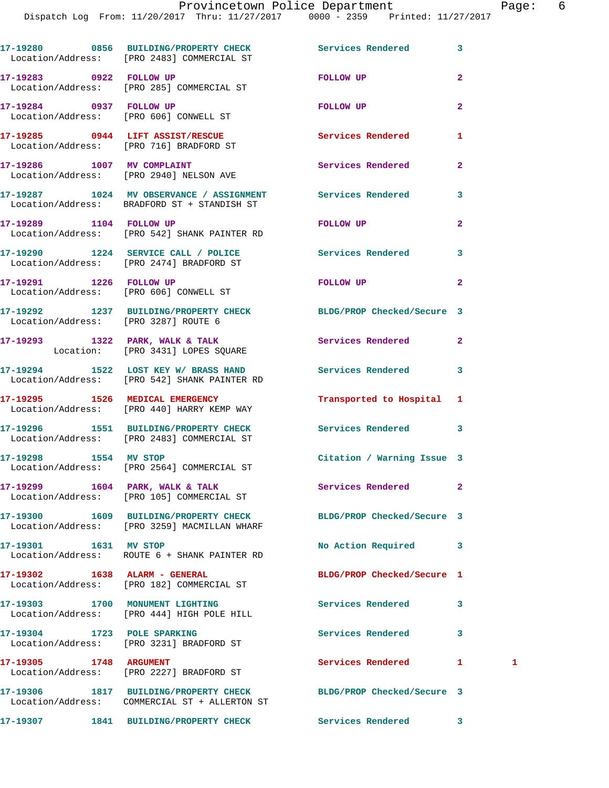|                                      | 17-19280 0856 BUILDING/PROPERTY CHECK Services Rendered<br>Location/Address: [PRO 2483] COMMERCIAL ST     |                            | 3              |   |
|--------------------------------------|-----------------------------------------------------------------------------------------------------------|----------------------------|----------------|---|
|                                      | 17-19283 0922 FOLLOW UP<br>Location/Address: [PRO 285] COMMERCIAL ST                                      | FOLLOW UP                  | $\mathbf{2}$   |   |
| 17-19284 0937 FOLLOW UP              | Location/Address: [PRO 606] CONWELL ST                                                                    | FOLLOW UP                  | $\overline{a}$ |   |
|                                      | 17-19285 0944 LIFT ASSIST/RESCUE<br>Location/Address: [PRO 716] BRADFORD ST                               | <b>Services Rendered</b>   | 1              |   |
|                                      | 17-19286 1007 MV COMPLAINT<br>Location/Address: [PRO 2940] NELSON AVE                                     | <b>Services Rendered</b>   | $\overline{a}$ |   |
|                                      | 17-19287 1024 MV OBSERVANCE / ASSIGNMENT Services Rendered<br>Location/Address: BRADFORD ST + STANDISH ST |                            | 3              |   |
| 17-19289 1104 FOLLOW UP              | Location/Address: [PRO 542] SHANK PAINTER RD                                                              | FOLLOW UP                  | $\overline{a}$ |   |
|                                      | 17-19290 1224 SERVICE CALL / POLICE Services Rendered<br>Location/Address: [PRO 2474] BRADFORD ST         |                            | 3              |   |
| 17-19291 1226 FOLLOW UP              | Location/Address: [PRO 606] CONWELL ST                                                                    | FOLLOW UP                  | $\mathbf{2}$   |   |
| Location/Address: [PRO 3287] ROUTE 6 | 17-19292 1237 BUILDING/PROPERTY CHECK BLDG/PROP Checked/Secure 3                                          |                            |                |   |
|                                      | $17-19293$ 1322 PARK, WALK & TALK<br>Location: [PRO 3431] LOPES SQUARE                                    | Services Rendered          | $\mathbf{2}$   |   |
|                                      | 17-19294 1522 LOST KEY W/ BRASS HAND Services Rendered<br>Location/Address: [PRO 542] SHANK PAINTER RD    |                            | 3              |   |
|                                      | 17-19295 1526 MEDICAL EMERGENCY<br>Location/Address: [PRO 440] HARRY KEMP WAY                             | Transported to Hospital 1  |                |   |
|                                      | 17-19296 1551 BUILDING/PROPERTY CHECK Services Rendered<br>Location/Address: [PRO 2483] COMMERCIAL ST     |                            | 3              |   |
| 17-19298 1554 MV STOP                | Location/Address: [PRO 2564] COMMERCIAL ST                                                                | Citation / Warning Issue 3 |                |   |
|                                      | 17-19299 1604 PARK, WALK & TALK<br>Location/Address: [PRO 105] COMMERCIAL ST                              | Services Rendered          | 2              |   |
|                                      | 17-19300 1609 BUILDING/PROPERTY CHECK<br>Location/Address: [PRO 3259] MACMILLAN WHARF                     | BLDG/PROP Checked/Secure 3 |                |   |
| 17-19301 1631 MV STOP                | Location/Address: ROUTE 6 + SHANK PAINTER RD                                                              | No Action Required         | 3              |   |
| 17-19302 1638 ALARM - GENERAL        | Location/Address: [PRO 182] COMMERCIAL ST                                                                 | BLDG/PROP Checked/Secure 1 |                |   |
|                                      | 17-19303 1700 MONUMENT LIGHTING<br>Location/Address: [PRO 444] HIGH POLE HILL                             | <b>Services Rendered</b>   | 3              |   |
| 17-19304 1723 POLE SPARKING          | Location/Address: [PRO 3231] BRADFORD ST                                                                  | <b>Services Rendered</b>   | 3              |   |
| <b>17-19305 1748 ARGUMENT</b>        | Location/Address: [PRO 2227] BRADFORD ST                                                                  | Services Rendered          | 1.             | 1 |
|                                      | 17-19306 1817 BUILDING/PROPERTY CHECK<br>Location/Address: COMMERCIAL ST + ALLERTON ST                    | BLDG/PROP Checked/Secure 3 |                |   |
|                                      | 17-19307 1841 BUILDING/PROPERTY CHECK                                                                     | Services Rendered          | 3              |   |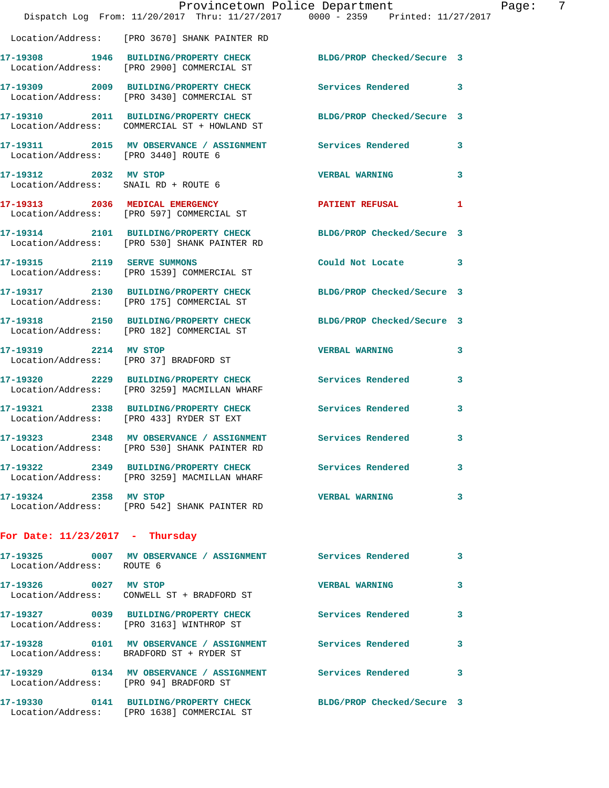|                                      | Provincetown Police Department<br>Dispatch Log From: 11/20/2017 Thru: 11/27/2017 0000 - 2359 Printed: 11/27/2017 |                            |    |
|--------------------------------------|------------------------------------------------------------------------------------------------------------------|----------------------------|----|
|                                      | Location/Address: [PRO 3670] SHANK PAINTER RD                                                                    |                            |    |
|                                      | 17-19308 1946 BUILDING/PROPERTY CHECK<br>Location/Address: [PRO 2900] COMMERCIAL ST                              | BLDG/PROP Checked/Secure 3 |    |
|                                      | 17-19309 2009 BUILDING/PROPERTY CHECK<br>Location/Address: [PRO 3430] COMMERCIAL ST                              | Services Rendered          | 3  |
|                                      | 17-19310 2011 BUILDING/PROPERTY CHECK<br>Location/Address: COMMERCIAL ST + HOWLAND ST                            | BLDG/PROP Checked/Secure 3 |    |
| Location/Address: [PRO 3440] ROUTE 6 | 17-19311 2015 MV OBSERVANCE / ASSIGNMENT Services Rendered                                                       |                            | 3  |
| 17-19312 2032 MV STOP                | Location/Address: SNAIL RD + ROUTE 6                                                                             | <b>VERBAL WARNING</b>      | 3  |
|                                      | 17-19313 2036 MEDICAL EMERGENCY<br>Location/Address: [PRO 597] COMMERCIAL ST                                     | <b>PATIENT REFUSAL</b>     | 1  |
|                                      | 17-19314 2101 BUILDING/PROPERTY CHECK<br>Location/Address: [PRO 530] SHANK PAINTER RD                            | BLDG/PROP Checked/Secure 3 |    |
| 17-19315 2119 SERVE SUMMONS          | Location/Address: [PRO 1539] COMMERCIAL ST                                                                       | Could Not Locate           | 3  |
|                                      | 17-19317 2130 BUILDING/PROPERTY CHECK<br>Location/Address: [PRO 175] COMMERCIAL ST                               | BLDG/PROP Checked/Secure 3 |    |
|                                      | 17-19318 2150 BUILDING/PROPERTY CHECK<br>Location/Address: [PRO 182] COMMERCIAL ST                               | BLDG/PROP Checked/Secure 3 |    |
| 17-19319 2214 MV STOP                | Location/Address: [PRO 37] BRADFORD ST                                                                           | <b>VERBAL WARNING</b>      | 3  |
|                                      | 17-19320 2229 BUILDING/PROPERTY CHECK<br>Location/Address: [PRO 3259] MACMILLAN WHARF                            | Services Rendered          | 3  |
|                                      | 17-19321 2338 BUILDING/PROPERTY CHECK<br>Location/Address: [PRO 433] RYDER ST EXT                                | <b>Services Rendered</b>   | 3  |
|                                      | 17-19323 2348 MV OBSERVANCE / ASSIGNMENT Services Rendered<br>Location/Address: [PRO 530] SHANK PAINTER RD       |                            | 3  |
|                                      | 17-19322 2349 BUILDING/PROPERTY CHECK<br>Location/Address: [PRO 3259] MACMILLAN WHARF                            | <b>Services Rendered</b>   | 3  |
| 17-19324 2358 MV STOP                | Location/Address: [PRO 542] SHANK PAINTER RD                                                                     | <b>VERBAL WARNING</b>      | 3  |
| For Date: $11/23/2017$ - Thursday    |                                                                                                                  |                            |    |
| Location/Address: ROUTE 6            | 17-19325 0007 MV OBSERVANCE / ASSIGNMENT Services Rendered                                                       |                            | 3  |
| 17-19326 0027 MV STOP                | Location/Address: CONWELL ST + BRADFORD ST                                                                       | <b>VERBAL WARNING</b>      | 3  |
|                                      | 17-19327 0039 BUILDING/PROPERTY CHECK Services Rendered<br>Location/Address: [PRO 3163] WINTHROP ST              |                            | 3. |
|                                      | 17-19328 0101 MV OBSERVANCE / ASSIGNMENT Services Rendered<br>Location/Address: BRADFORD ST + RYDER ST           |                            | 3  |
|                                      | 17-19329 0134 MV OBSERVANCE / ASSIGNMENT Services Rendered<br>Location/Address: [PRO 94] BRADFORD ST             |                            | 3  |
|                                      | 17-19330 0141 BUILDING/PROPERTY CHECK<br>Location/Address: [PRO 1638] COMMERCIAL ST                              | BLDG/PROP Checked/Secure 3 |    |

Page: 7<br>17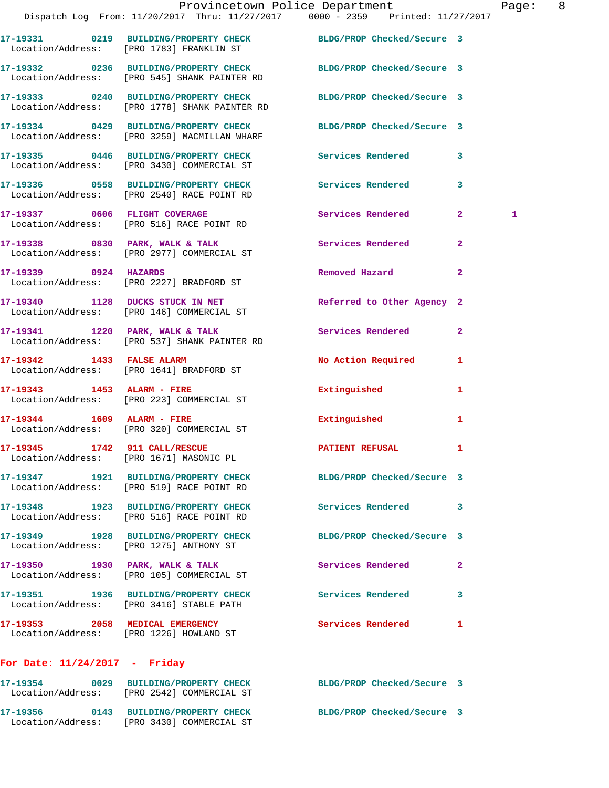|                                 | Provincetown Police Department                                                                                    |                            | Pag                 |
|---------------------------------|-------------------------------------------------------------------------------------------------------------------|----------------------------|---------------------|
|                                 | Dispatch Log From: 11/20/2017 Thru: 11/27/2017 0000 - 2359 Printed: 11/27/2017                                    |                            |                     |
|                                 | 17-19331 0219 BUILDING/PROPERTY CHECK BLDG/PROP Checked/Secure 3<br>Location/Address: [PRO 1783] FRANKLIN ST      |                            |                     |
|                                 | 17-19332 0236 BUILDING/PROPERTY CHECK BLDG/PROP Checked/Secure 3<br>Location/Address: [PRO 545] SHANK PAINTER RD  |                            |                     |
|                                 | 17-19333 0240 BUILDING/PROPERTY CHECK BLDG/PROP Checked/Secure 3<br>Location/Address: [PRO 1778] SHANK PAINTER RD |                            |                     |
|                                 | 17-19334 0429 BUILDING/PROPERTY CHECK BLDG/PROP Checked/Secure 3<br>Location/Address: [PRO 3259] MACMILLAN WHARF  |                            |                     |
|                                 | 17-19335 0446 BUILDING/PROPERTY CHECK Services Rendered<br>Location/Address: [PRO 3430] COMMERCIAL ST             |                            | 3                   |
|                                 | Location/Address: [PRO 2540] RACE POINT RD                                                                        |                            | 3                   |
|                                 | 17-19337 0606 FLIGHT COVERAGE<br>Location/Address: [PRO 516] RACE POINT RD                                        | Services Rendered          | 2 <sup>1</sup><br>1 |
|                                 | 17-19338 0830 PARK, WALK & TALK 30 Services Rendered<br>Location/Address: [PRO 2977] COMMERCIAL ST                |                            | $\overline{2}$      |
|                                 | 17-19339 0924 HAZARDS<br>Location/Address: [PRO 2227] BRADFORD ST                                                 | Removed Hazard             | $\overline{a}$      |
|                                 | 17-19340 1128 DUCKS STUCK IN NET<br>Location/Address: [PRO 146] COMMERCIAL ST                                     | Referred to Other Agency 2 |                     |
|                                 | 17-19341 1220 PARK, WALK & TALK<br>Location/Address: [PRO 537] SHANK PAINTER RD                                   | <b>Services Rendered</b>   | $\mathbf{2}$        |
| 17-19342 1433 FALSE ALARM       | Location/Address: [PRO 1641] BRADFORD ST                                                                          | No Action Required         | 1                   |
|                                 | 17-19343    1453    ALARM - FIRE<br>Location/Address: [PRO 223] COMMERCIAL ST                                     | Extinguished               | 1                   |
|                                 | $17-19344$ 1609 ALARM - FIRE<br>Location/Address: [PRO 320] COMMERCIAL ST                                         | Extinguished               | 1                   |
|                                 | 17-19345 1742 911 CALL/RESCUE<br>Location/Address: [PRO 1671] MASONIC PL                                          | <b>PATIENT REFUSAL</b>     | 1                   |
|                                 | 17-19347 1921 BUILDING/PROPERTY CHECK<br>Location/Address: [PRO 519] RACE POINT RD                                | BLDG/PROP Checked/Secure 3 |                     |
|                                 | 17-19348 1923 BUILDING/PROPERTY CHECK<br>Location/Address: [PRO 516] RACE POINT RD                                | Services Rendered          | 3                   |
|                                 | 17-19349 1928 BUILDING/PROPERTY CHECK<br>Location/Address: [PRO 1275] ANTHONY ST                                  | BLDG/PROP Checked/Secure 3 |                     |
|                                 | 17-19350 1930 PARK, WALK & TALK<br>Location/Address: [PRO 105] COMMERCIAL ST                                      | Services Rendered          | $\mathbf{2}$        |
|                                 | 17-19351 1936 BUILDING/PROPERTY CHECK<br>Location/Address: [PRO 3416] STABLE PATH                                 | Services Rendered          | 3                   |
|                                 | 17-19353 2058 MEDICAL EMERGENCY<br>Location/Address: [PRO 1226] HOWLAND ST                                        | Services Rendered          | 1                   |
| For Date: $11/24/2017$ - Friday |                                                                                                                   |                            |                     |
|                                 |                                                                                                                   |                            |                     |

**17-19354 0029 BUILDING/PROPERTY CHECK BLDG/PROP Checked/Secure 3**  Location/Address: [PRO 2542] COMMERCIAL ST **17-19356 0143 BUILDING/PROPERTY CHECK BLDG/PROP Checked/Secure 3**  Location/Address: [PRO 3430] COMMERCIAL ST

age: 8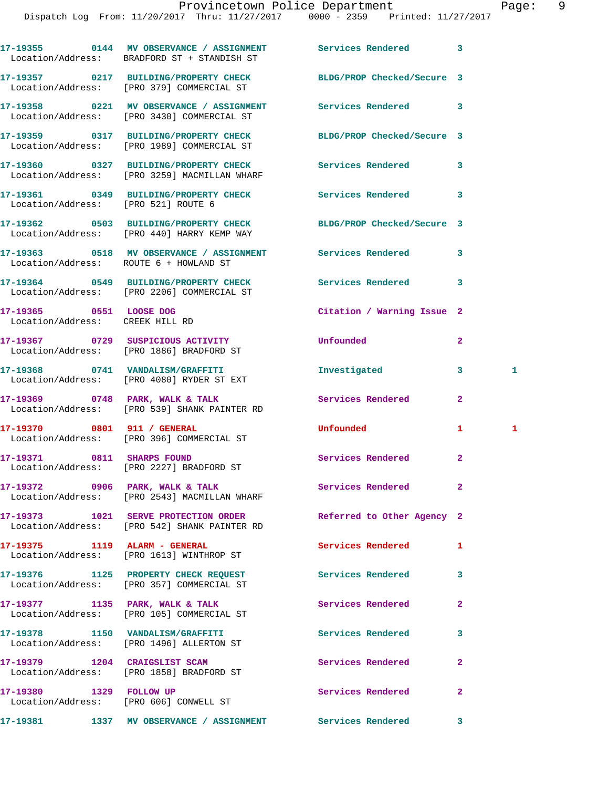|                                                            | 17-19355 0144 MV OBSERVANCE / ASSIGNMENT Services Rendered<br>Location/Address: BRADFORD ST + STANDISH ST |                            | 3              |   |
|------------------------------------------------------------|-----------------------------------------------------------------------------------------------------------|----------------------------|----------------|---|
|                                                            | 17-19357 0217 BUILDING/PROPERTY CHECK<br>Location/Address: [PRO 379] COMMERCIAL ST                        | BLDG/PROP Checked/Secure 3 |                |   |
|                                                            | 17-19358 0221 MV OBSERVANCE / ASSIGNMENT Services Rendered<br>Location/Address: [PRO 3430] COMMERCIAL ST  |                            | 3              |   |
|                                                            | 17-19359 0317 BUILDING/PROPERTY CHECK<br>Location/Address: [PRO 1989] COMMERCIAL ST                       | BLDG/PROP Checked/Secure 3 |                |   |
|                                                            | 17-19360 0327 BUILDING/PROPERTY CHECK<br>Location/Address: [PRO 3259] MACMILLAN WHARF                     | Services Rendered          | 3              |   |
| Location/Address: [PRO 521] ROUTE 6                        | 17-19361 0349 BUILDING/PROPERTY CHECK                                                                     | Services Rendered          | 3              |   |
|                                                            | 17-19362 0503 BUILDING/PROPERTY CHECK<br>Location/Address: [PRO 440] HARRY KEMP WAY                       | BLDG/PROP Checked/Secure 3 |                |   |
| Location/Address: ROUTE 6 + HOWLAND ST                     | 17-19363 0518 MV OBSERVANCE / ASSIGNMENT Services Rendered                                                |                            | 3              |   |
|                                                            | 17-19364 0549 BUILDING/PROPERTY CHECK<br>Location/Address: [PRO 2206] COMMERCIAL ST                       | Services Rendered          | 3              |   |
| 17-19365 0551 LOOSE DOG<br>Location/Address: CREEK HILL RD |                                                                                                           | Citation / Warning Issue 2 |                |   |
|                                                            | 17-19367 0729 SUSPICIOUS ACTIVITY<br>Location/Address: [PRO 1886] BRADFORD ST                             | Unfounded                  | $\overline{2}$ |   |
|                                                            | 17-19368 0741  VANDALISM/GRAFFITI<br>Location/Address: [PRO 4080] RYDER ST EXT                            | Investigated               | 3              | 1 |
|                                                            | 17-19369 0748 PARK, WALK & TALK<br>Location/Address: [PRO 539] SHANK PAINTER RD                           | Services Rendered          | $\overline{a}$ |   |
| 17-19370 0801 911 / GENERAL                                | Location/Address: [PRO 396] COMMERCIAL ST                                                                 | Unfounded                  | 1              | 1 |
| 17-19371 0811 SHARPS FOUND                                 | Location/Address: [PRO 2227] BRADFORD ST                                                                  | Services Rendered          | $\mathbf{2}$   |   |
|                                                            | 17-19372 0906 PARK, WALK & TALK<br>Location/Address: [PRO 2543] MACMILLAN WHARF                           | Services Rendered          | $\mathbf{2}$   |   |
|                                                            | 17-19373 1021 SERVE PROTECTION ORDER<br>Location/Address: [PRO 542] SHANK PAINTER RD                      | Referred to Other Agency 2 |                |   |
| 17-19375 1119 ALARM - GENERAL                              | Location/Address: [PRO 1613] WINTHROP ST                                                                  | <b>Services Rendered</b>   | 1              |   |
|                                                            | 17-19376 1125 PROPERTY CHECK REQUEST<br>Location/Address: [PRO 357] COMMERCIAL ST                         | Services Rendered          | 3              |   |
|                                                            | 17-19377 1135 PARK, WALK & TALK<br>Location/Address: [PRO 105] COMMERCIAL ST                              | <b>Services Rendered</b>   | $\mathbf{2}$   |   |
|                                                            | 17-19378 1150 VANDALISM/GRAFFITI<br>Location/Address: [PRO 1496] ALLERTON ST                              | Services Rendered          | 3              |   |
|                                                            | 17-19379 1204 CRAIGSLIST SCAM<br>Location/Address: [PRO 1858] BRADFORD ST                                 | Services Rendered          | $\mathbf{2}$   |   |
| 17-19380 1329 FOLLOW UP                                    | Location/Address: [PRO 606] CONWELL ST                                                                    | Services Rendered          | $\overline{a}$ |   |
|                                                            | 17-19381 1337 MV OBSERVANCE / ASSIGNMENT Services Rendered                                                |                            | $\mathbf{3}$   |   |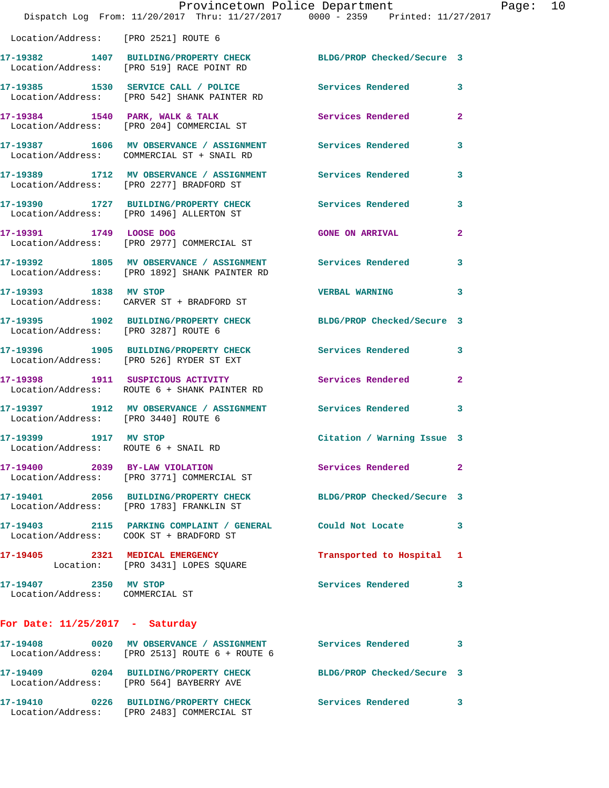|                                                               | Provincetown Police Department<br>Dispatch Log From: 11/20/2017 Thru: 11/27/2017 0000 - 2359 Printed: 11/27/2017 |                            |                |
|---------------------------------------------------------------|------------------------------------------------------------------------------------------------------------------|----------------------------|----------------|
| Location/Address: [PRO 2521] ROUTE 6                          |                                                                                                                  |                            |                |
|                                                               | 17-19382 1407 BUILDING/PROPERTY CHECK<br>Location/Address: [PRO 519] RACE POINT RD                               | BLDG/PROP Checked/Secure 3 |                |
|                                                               | 17-19385 1530 SERVICE CALL / POLICE Services Rendered Location/Address: [PRO 542] SHANK PAINTER RD               |                            | 3              |
|                                                               | 17-19384 1540 PARK, WALK & TALK<br>Location/Address: [PRO 204] COMMERCIAL ST                                     | Services Rendered          | $\overline{a}$ |
|                                                               | 17-19387 1606 MV OBSERVANCE / ASSIGNMENT Services Rendered<br>Location/Address: COMMERCIAL ST + SNAIL RD         |                            | 3              |
|                                                               | 17-19389 1712 MV OBSERVANCE / ASSIGNMENT Services Rendered<br>Location/Address: [PRO 2277] BRADFORD ST           |                            | 3              |
|                                                               | 17-19390 1727 BUILDING/PROPERTY CHECK Services Rendered<br>Location/Address: [PRO 1496] ALLERTON ST              |                            | 3              |
| 17-19391 1749 LOOSE DOG                                       | Location/Address: [PRO 2977] COMMERCIAL ST                                                                       | <b>GONE ON ARRIVAL</b>     | $\overline{2}$ |
|                                                               | 17-19392 1805 MV OBSERVANCE / ASSIGNMENT Services Rendered<br>Location/Address: [PRO 1892] SHANK PAINTER RD      |                            | 3              |
| 17-19393 1838 MV STOP                                         | Location/Address: CARVER ST + BRADFORD ST                                                                        | <b>VERBAL WARNING</b>      | 3              |
|                                                               | 17-19395 1902 BUILDING/PROPERTY CHECK BLDG/PROP Checked/Secure 3<br>Location/Address: [PRO 3287] ROUTE 6         |                            |                |
|                                                               | 17-19396 1905 BUILDING/PROPERTY CHECK Services Rendered<br>Location/Address: [PRO 526] RYDER ST EXT              |                            | 3              |
|                                                               | 17-19398 1911 SUSPICIOUS ACTIVITY<br>Location/Address: ROUTE 6 + SHANK PAINTER RD                                | <b>Services Rendered</b>   | $\mathbf{2}$   |
|                                                               | 17-19397 1912 MV OBSERVANCE / ASSIGNMENT Services Rendered<br>Location/Address: [PRO 3440] ROUTE 6               |                            | 3              |
| 17-19399 1917 MV STOP<br>Location/Address: ROUTE 6 + SNAIL RD |                                                                                                                  | Citation / Warning Issue 3 |                |
|                                                               | 17-19400 2039 BY-LAW VIOLATION<br>Location/Address: [PRO 3771] COMMERCIAL ST                                     | Services Rendered          | $\overline{2}$ |
|                                                               | 17-19401 2056 BUILDING/PROPERTY CHECK BLDG/PROP Checked/Secure 3<br>Location/Address: [PRO 1783] FRANKLIN ST     |                            |                |
|                                                               | 17-19403 2115 PARKING COMPLAINT / GENERAL Could Not Locate<br>Location/Address: COOK ST + BRADFORD ST            |                            | 3              |
|                                                               | 17-19405 2321 MEDICAL EMERGENCY<br>Location: [PRO 3431] LOPES SQUARE                                             | Transported to Hospital    | 1              |
| 17-19407 2350 MV STOP<br>Location/Address: COMMERCIAL ST      |                                                                                                                  | <b>Services Rendered</b>   | 3              |
| For Date: $11/25/2017$ - Saturday                             |                                                                                                                  |                            |                |
|                                                               | 17-19408 0020 MV OBSERVANCE / ASSIGNMENT Services Rendered<br>Location/Address: [PRO 2513] ROUTE 6 + ROUTE 6     |                            | 3              |
|                                                               | 17-19409 0204 BUILDING/PROPERTY CHECK BLDG/PROP Checked/Secure 3<br>Location/Address: [PRO 564] BAYBERRY AVE     |                            |                |
|                                                               | 17-19410 0226 BUILDING/PROPERTY CHECK                                                                            | Services Rendered 3        |                |

Location/Address: [PRO 2483] COMMERCIAL ST

Page:  $10$ <br>017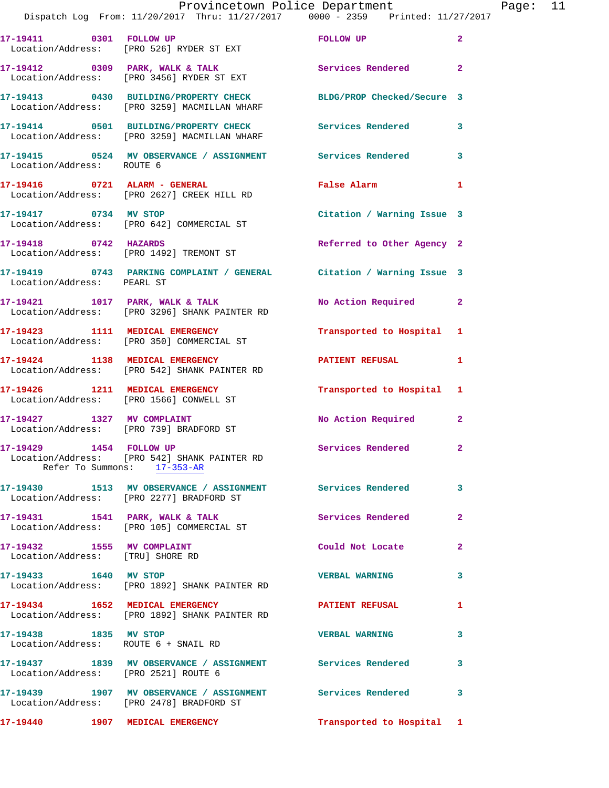|                                                                | Provincetown Police Department<br>Dispatch Log From: 11/20/2017 Thru: 11/27/2017 0000 - 2359 Printed: 11/27/2017 |                            |                |
|----------------------------------------------------------------|------------------------------------------------------------------------------------------------------------------|----------------------------|----------------|
|                                                                |                                                                                                                  |                            |                |
|                                                                | 17-19411 0301 FOLLOW UP<br>Location/Address: [PRO 526] RYDER ST EXT                                              | FOLLOW UP                  | $\overline{2}$ |
|                                                                | 17-19412 0309 PARK, WALK & TALK Services Rendered<br>Location/Address: [PRO 3456] RYDER ST EXT                   |                            | $\overline{2}$ |
|                                                                | 17-19413 0430 BUILDING/PROPERTY CHECK<br>Location/Address: [PRO 3259] MACMILLAN WHARF                            | BLDG/PROP Checked/Secure 3 |                |
|                                                                | 17-19414 0501 BUILDING/PROPERTY CHECK Services Rendered<br>Location/Address: [PRO 3259] MACMILLAN WHARF          |                            | 3              |
| Location/Address: ROUTE 6                                      | 17-19415 0524 MV OBSERVANCE / ASSIGNMENT Services Rendered                                                       |                            | 3              |
|                                                                | 17-19416 0721 ALARM - GENERAL<br>Location/Address: [PRO 2627] CREEK HILL RD                                      | <b>False Alarm</b>         | 1              |
| 17-19417 0734 MV STOP                                          | Location/Address: [PRO 642] COMMERCIAL ST                                                                        | Citation / Warning Issue 3 |                |
| 17-19418 0742 HAZARDS                                          | Location/Address: [PRO 1492] TREMONT ST                                                                          | Referred to Other Agency 2 |                |
| Location/Address: PEARL ST                                     | 17-19419 0743 PARKING COMPLAINT / GENERAL Citation / Warning Issue 3                                             |                            |                |
|                                                                | 17-19421 1017 PARK, WALK & TALK<br>Location/Address: [PRO 3296] SHANK PAINTER RD                                 | No Action Required         | $\mathbf{2}$   |
|                                                                | 17-19423 1111 MEDICAL EMERGENCY<br>Location/Address: [PRO 350] COMMERCIAL ST                                     | Transported to Hospital    | 1              |
|                                                                | 17-19424 1138 MEDICAL EMERGENCY<br>Location/Address: [PRO 542] SHANK PAINTER RD                                  | <b>PATIENT REFUSAL</b>     | 1              |
|                                                                | 17-19426 1211 MEDICAL EMERGENCY<br>Location/Address: [PRO 1566] CONWELL ST                                       | Transported to Hospital    | 1              |
|                                                                | 17-19427 1327 MV COMPLAINT<br>Location/Address: [PRO 739] BRADFORD ST                                            | No Action Required         | $\mathbf{2}$   |
|                                                                | 17-19429 1454 FOLLOW UP<br>Location/Address: [PRO 542] SHANK PAINTER RD<br>Refer To Summons: 17-353-AR           | <b>Services Rendered</b>   |                |
|                                                                | 17-19430 1513 MV OBSERVANCE / ASSIGNMENT Services Rendered<br>Location/Address: [PRO 2277] BRADFORD ST           |                            | 3              |
|                                                                | 17-19431 1541 PARK, WALK & TALK<br>Location/Address: [PRO 105] COMMERCIAL ST                                     | <b>Services Rendered</b>   | $\overline{2}$ |
| 17-19432 1555 MV COMPLAINT<br>Location/Address: [TRU] SHORE RD |                                                                                                                  | Could Not Locate           | $\mathbf{2}$   |
| 17-19433 1640 MV STOP                                          | Location/Address: [PRO 1892] SHANK PAINTER RD                                                                    | <b>VERBAL WARNING</b>      | 3              |
|                                                                | 17-19434 1652 MEDICAL EMERGENCY<br>Location/Address: [PRO 1892] SHANK PAINTER RD                                 | <b>PATIENT REFUSAL</b>     | 1              |
| 17-19438 1835 MV STOP<br>Location/Address: ROUTE 6 + SNAIL RD  |                                                                                                                  | <b>VERBAL WARNING</b>      | 3              |
| Location/Address: [PRO 2521] ROUTE 6                           | 17-19437 1839 MV OBSERVANCE / ASSIGNMENT Services Rendered                                                       |                            | 3              |
|                                                                | 17-19439 1907 MV OBSERVANCE / ASSIGNMENT Services Rendered<br>Location/Address: [PRO 2478] BRADFORD ST           |                            | 3              |
|                                                                | 17-19440 1907 MEDICAL EMERGENCY                                                                                  | Transported to Hospital 1  |                |

Page: 11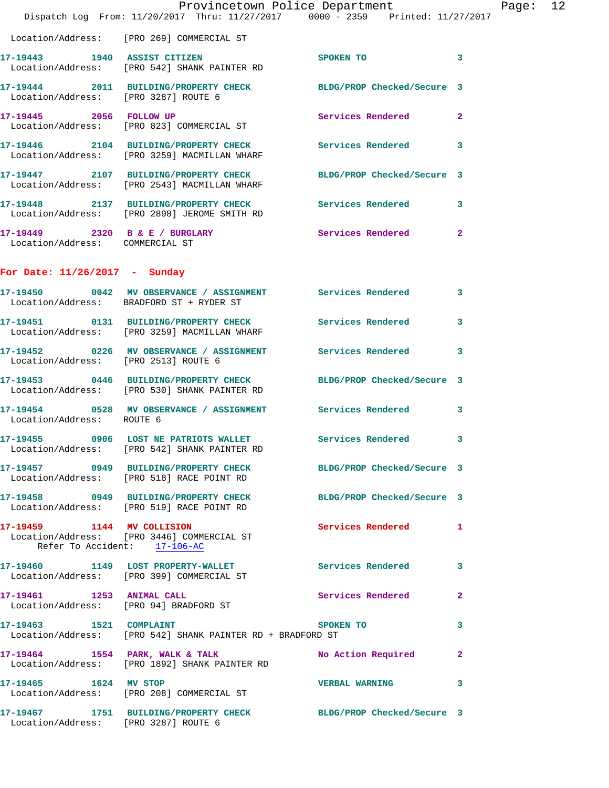|                                      | Provincetown Police Department<br>Dispatch Log From: 11/20/2017 Thru: 11/27/2017 0000 - 2359 Printed: 11/27/2017 |                            |   | Page: 12 |  |
|--------------------------------------|------------------------------------------------------------------------------------------------------------------|----------------------------|---|----------|--|
|                                      | Location/Address: [PRO 269] COMMERCIAL ST                                                                        |                            |   |          |  |
|                                      | 17-19443 1940 ASSIST CITIZEN<br>Location/Address: [PRO 542] SHANK PAINTER RD                                     | SPOKEN TO 3                |   |          |  |
| Location/Address: [PRO 3287] ROUTE 6 | 17-19444 2011 BUILDING/PROPERTY CHECK BLDG/PROP Checked/Secure 3                                                 |                            |   |          |  |
|                                      | 17-19445 2056 FOLLOW UP<br>Location/Address: [PRO 823] COMMERCIAL ST                                             | Services Rendered 2        |   |          |  |
|                                      | 17-19446 2104 BUILDING/PROPERTY CHECK Services Rendered 3<br>Location/Address: [PRO 3259] MACMILLAN WHARF        |                            |   |          |  |
|                                      | 17-19447 2107 BUILDING/PROPERTY CHECK BLDG/PROP Checked/Secure 3<br>Location/Address: [PRO 2543] MACMILLAN WHARF |                            |   |          |  |
|                                      | 17-19448 2137 BUILDING/PROPERTY CHECK Services Rendered 3<br>Location/Address: [PRO 2898] JEROME SMITH RD        |                            |   |          |  |
| Location/Address: COMMERCIAL ST      | 17-19449 2320 B & E / BURGLARY Services Rendered 2                                                               |                            |   |          |  |
| For Date: $11/26/2017$ - Sunday      |                                                                                                                  |                            |   |          |  |
|                                      | 17-19450 0042 MV OBSERVANCE / ASSIGNMENT Services Rendered 3<br>Location/Address: BRADFORD ST + RYDER ST         |                            |   |          |  |
|                                      | 17-19451 0131 BUILDING/PROPERTY CHECK Services Rendered 3<br>Location/Address: [PRO 3259] MACMILLAN WHARF        |                            |   |          |  |
| Location/Address: [PRO 2513] ROUTE 6 | 17-19452 0226 MV OBSERVANCE / ASSIGNMENT Services Rendered 3                                                     |                            |   |          |  |
|                                      | 17-19453 0446 BUILDING/PROPERTY CHECK BLDG/PROP Checked/Secure 3<br>Location/Address: [PRO 530] SHANK PAINTER RD |                            |   |          |  |
| Location/Address: ROUTE 6            | 17-19454 0528 MV OBSERVANCE / ASSIGNMENT Services Rendered 3                                                     |                            |   |          |  |
|                                      | 17-19455 0906 LOST NE PATRIOTS WALLET Services Rendered 3<br>Location/Address: [PRO 542] SHANK PAINTER RD        |                            |   |          |  |
|                                      | 17-19457 0949 BUILDING/PROPERTY CHECK BLDG/PROP Checked/Secure 3<br>Location/Address: [PRO 518] RACE POINT RD    |                            |   |          |  |
|                                      | 17-19458 0949 BUILDING/PROPERTY CHECK BLDG/PROP Checked/Secure 3<br>Location/Address: [PRO 519] RACE POINT RD    |                            |   |          |  |
| Refer To Accident: 17-106-AC         | 17-19459 1144 MV COLLISION<br>Location/Address: [PRO 3446] COMMERCIAL ST                                         | <b>Services Rendered</b> 1 |   |          |  |
|                                      | 17-19460 1149 LOST PROPERTY-WALLET<br>Location/Address: [PRO 399] COMMERCIAL ST                                  | Services Rendered 3        |   |          |  |
|                                      | 17-19461 1253 ANIMAL CALL<br>Location/Address: [PRO 94] BRADFORD ST                                              | Services Rendered 2        |   |          |  |
|                                      | 17-19463 1521 COMPLAINT<br>Location/Address: [PRO 542] SHANK PAINTER RD + BRADFORD ST                            | <b>SPOKEN TO</b>           | 3 |          |  |
|                                      | 17-19464 1554 PARK, WALK & TALK<br>Location/Address: [PRO 1892] SHANK PAINTER RD                                 | No Action Required 2       |   |          |  |
|                                      | 17-19465    1624 MV STOP<br>Location/Address: [PRO 208] COMMERCIAL ST                                            | <b>VERBAL WARNING</b>      | 3 |          |  |
| Location/Address: [PRO 3287] ROUTE 6 | 17-19467 1751 BUILDING/PROPERTY CHECK BLDG/PROP Checked/Secure 3                                                 |                            |   |          |  |